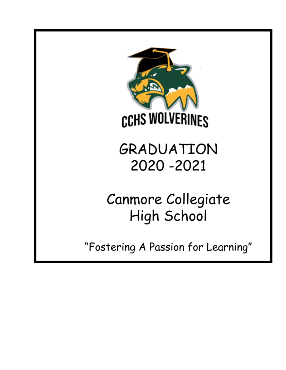

GRADUATION 2020 - 2021

Canmore Collegiate High School

"Fostering A Passion for Learning"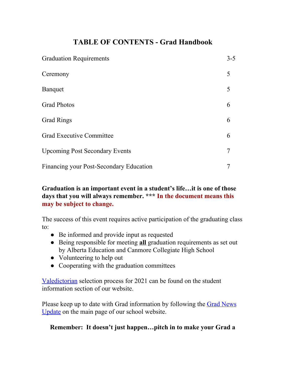# **TABLE OF CONTENTS - Grad Handbook**

| <b>Graduation Requirements</b>          | $3 - 5$ |
|-----------------------------------------|---------|
| Ceremony                                | 5       |
| <b>Banquet</b>                          | 5       |
| <b>Grad Photos</b>                      | 6       |
| <b>Grad Rings</b>                       | 6       |
| <b>Grad Executive Committee</b>         | 6       |
| <b>Upcoming Post Secondary Events</b>   | 7       |
| Financing your Post-Secondary Education |         |

## **Graduation is an important event in a student's life…it is one of those days that you will always remember. \*\*\* In the document means this may be subject to change.**

The success of this event requires active participation of the graduating class to:

- Be informed and provide input as requested
- Being responsible for meeting **all** graduation requirements as set out by Alberta Education and Canmore Collegiate High School
- Volunteering to help out
- Cooperating with the graduation committees

[Valedictorian](https://cchs.crps.ca/documents/general/Valedictorian%20Application%202021.pdf) selection process for 2021 can be found on the student information section of our website.

Please keep up to date with Grad information by following the Grad [News](http://cchs.crps.ca/view.php?action=object&id=555&stream=Announcements) [Update](http://cchs.crps.ca/view.php?action=object&id=555&stream=Announcements) on the main page of our school website.

## **Remember: It doesn't just happen…pitch in to make your Grad a**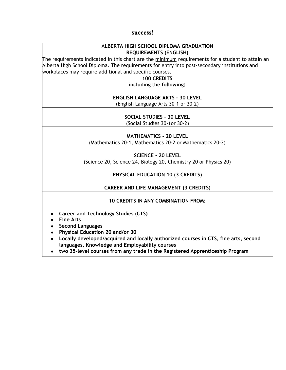#### **success!**

#### **ALBERTA HIGH SCHOOL DIPLOMA GRADUATION REQUIREMENTS (ENGLISH)**

The requirements indicated in this chart are the  $\frac{minnum}{max}$  requirements for a student to attain an Alberta High School Diploma. The requirements for entry into post-secondary institutions and workplaces may require additional and specific courses.

**100 CREDITS**

**including the following:**

**ENGLISH LANGUAGE ARTS - 30 LEVEL**

(English Language Arts 30-1 or 30-2)

**SOCIAL STUDIES - 30 LEVEL** (Social Studies 30-1or 30-2)

**MATHEMATICS - 20 LEVEL**

(Mathematics 20-1, Mathematics 20-2 or Mathematics 20-3)

**SCIENCE - 20 LEVEL**

(Science 20, Science 24, Biology 20, Chemistry 20 or Physics 20)

**PHYSICAL EDUCATION 10 (3 CREDITS)**

### **CAREER AND LIFE MANAGEMENT (3 CREDITS)**

#### **10 CREDITS IN ANY COMBINATION FROM:**

- **● Career and Technology Studies (CTS)**
- **● Fine Arts**
- **● Second Languages**
- **● Physical Education 20 and/or 30**
- **● Locally developed/acquired and locally authorized courses in CTS, fine arts, second languages, Knowledge and Employability courses**
- **● two 35-level courses from any trade in the Registered Apprenticeship Program**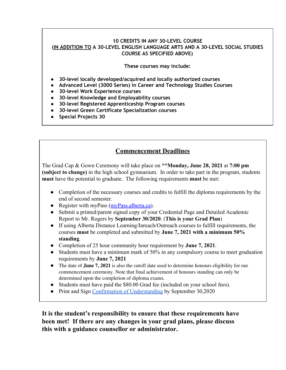### **10 CREDITS IN ANY 30-LEVEL COURSE (IN ADDITION TO A 30-LEVEL ENGLISH LANGUAGE ARTS AND A 30-LEVEL SOCIAL STUDIES COURSE AS SPECIFIED ABOVE)**

**These courses may include:**

- **● 30-level locally developed/acquired and locally authorized courses**
- **● Advanced Level (3000 Series) in Career and Technology Studies Courses**
- **● 30-level Work Experience courses**
- **● 30-level Knowledge and Employability courses**
- **● 30-level Registered Apprenticeship Program courses**
- **● 30-level Green Certificate Specialization courses**
- **● Special Projects 30**

# **Commencement Deadlines**

The Grad Cap & Gown Ceremony will take place on \*\***Monday, June 28, 2021** at **7:00 pm (subject to change)** in the high school gymnasium. In order to take part in the program, students **must** have the potential to graduate. The following requirements **must** be met:

- Completion of the necessary courses and credits to fulfill the diploma requirements by the end of second semester.
- Register with myPass ([myPass.alberta.ca](https://public.education.alberta.ca/PASI/myPass)).
- Submit a printed/parent signed copy of your Credential Page and Detailed Academic Report to Mr. Rogers by **September 30/2020**. (**This is your Grad Plan**)
- If using Alberta Distance Learning/Inreach/Outreach courses to fulfill requirements, the courses **must** be completed and submitted by **June 7, 2021 with a minimum 50% standing**.
- Completion of 25 hour community hour requirement by **June 7, 2021**.
- Students must have a minimum mark of 50% in any compulsory course to meet graduation requirements by **June 7, 2021**
- The date of **June 7, 2021** is also the cutoff date used to determine honours eligibility for our commencement ceremony. Note that final achievement of honours standing can only be determined upon the completion of diploma exams.
- Students must have paid the \$80.00 Grad fee (included on your school fees).
- Print and Sign [Confirmation of Understanding](https://cchs.crps.ca/documents/general/Grad%20Confirmation%202020_21.pdf) by September 30,2020

**It is the student's responsibility to ensure that these requirements have been met! If there are any changes in your grad plans, please discuss this with a guidance counsellor or administrator.**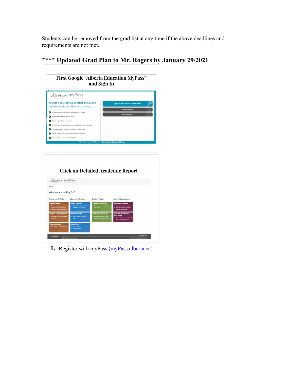Students can be removed from the grad list at any time if the above deadlines and requirements are not met.

| Alberta my Pass                                                                                                                                                                                                                                                                                                                                                                                                                                                                                 |                                                                                                                                                               |                                                                                                                                                                            |                                                                                                                                                                                                                                                      |  |
|-------------------------------------------------------------------------------------------------------------------------------------------------------------------------------------------------------------------------------------------------------------------------------------------------------------------------------------------------------------------------------------------------------------------------------------------------------------------------------------------------|---------------------------------------------------------------------------------------------------------------------------------------------------------------|----------------------------------------------------------------------------------------------------------------------------------------------------------------------------|------------------------------------------------------------------------------------------------------------------------------------------------------------------------------------------------------------------------------------------------------|--|
| myPass is an Alberta Education secure self-<br>service website for Alberta students to:<br>View diploma exam results and request rescores<br>Register to write a diploma exam<br>$\mathcal{L}$<br>Order high school transcripts<br>$\sim$<br>View progress towards a credential (diploma or certificate)<br>$\sqrt{ }$<br>View and print a Detailed Academic Report (DAR)<br>Order additional copies of an awarded credential<br>$\mathcal{C}$<br>$\sigma$<br>View student personal information |                                                                                                                                                               |                                                                                                                                                                            | <b>Sign in with Education Account &gt;&gt;</b><br>How do I sign up?<br>What is myPass?                                                                                                                                                               |  |
|                                                                                                                                                                                                                                                                                                                                                                                                                                                                                                 |                                                                                                                                                               |                                                                                                                                                                            | @2017 Government of Alberta Copyright and Disclaimer   Privacy                                                                                                                                                                                       |  |
|                                                                                                                                                                                                                                                                                                                                                                                                                                                                                                 |                                                                                                                                                               |                                                                                                                                                                            |                                                                                                                                                                                                                                                      |  |
| Alberta myPass                                                                                                                                                                                                                                                                                                                                                                                                                                                                                  |                                                                                                                                                               |                                                                                                                                                                            | <b>Click on Detailed Academic Report</b>                                                                                                                                                                                                             |  |
|                                                                                                                                                                                                                                                                                                                                                                                                                                                                                                 |                                                                                                                                                               |                                                                                                                                                                            |                                                                                                                                                                                                                                                      |  |
|                                                                                                                                                                                                                                                                                                                                                                                                                                                                                                 |                                                                                                                                                               |                                                                                                                                                                            |                                                                                                                                                                                                                                                      |  |
|                                                                                                                                                                                                                                                                                                                                                                                                                                                                                                 | <b>Document Orders</b>                                                                                                                                        | <b>Student Profile</b>                                                                                                                                                     | <b>Student Connections</b>                                                                                                                                                                                                                           |  |
| <b>青 Home</b><br>What are you looking for?<br><b>Courses and Marks</b><br><b>Diploma Exams</b><br>>> Add and manage exi<br>registrations and late payments<br>View results and request rescore<br><b>Detailed Academic Report</b><br>aad high school course and<br>mark history<br>reprint                                                                                                                                                                                                      | <b>Order Transcript</b><br>>> Order an Alberta Transcript of<br><b>High School Achievement</b><br><b>Order Credential</b><br>>> Order a diploma / certificate | <b>Personal Information</b><br>Review perso<br>information<br><b>Verification Document</b><br>.<br>Ienerate letters that provide<br>roof of name, school enrolm<br>and age | <b>Connect to a Student</b><br>>> Request access to a student<br>> Use a PIN or Access Code from a<br>Letter you have received<br><b>Access to Your Student</b><br>Information<br>>> Review who can see or has looked<br>at your student information |  |

**\*\*\*\* Updated Grad Plan to Mr. Rogers by January 29/2021**

1. Register with myPass ([myPass.alberta.ca](https://public.education.alberta.ca/PASI/myPass)).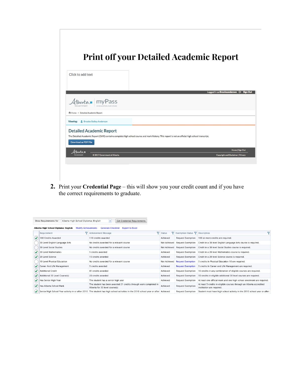

**2.** Print your **Credential Page** – this will show you your credit count and if you have the correct requirements to graduate.

|                                                                                                                                | Alberta High School Diploma: English<br>Show Requirements for                                                                      | <b>Get Credential Requirements</b><br>$\cdot$           |                                      |                                                                                                   |                                                                           |   |
|--------------------------------------------------------------------------------------------------------------------------------|------------------------------------------------------------------------------------------------------------------------------------|---------------------------------------------------------|--------------------------------------|---------------------------------------------------------------------------------------------------|---------------------------------------------------------------------------|---|
|                                                                                                                                | Alberta High School Diploma: English<br><b>Modify Achievements</b>                                                                 | <b>Generate Checklist</b><br><b>Export to Excel</b>     |                                      |                                                                                                   |                                                                           |   |
|                                                                                                                                | Requirement                                                                                                                        | $\overline{\mathbf{Y}}$<br><b>Y</b> Achievement Message | <b>Status</b>                        | $\nabla$ Exemption Status $\nabla$ Description                                                    |                                                                           | ᢦ |
|                                                                                                                                | 100 Credits Awarded                                                                                                                | 110 credits awarded                                     | Achieved                             | <b>Request Exemption</b>                                                                          | 100 or more credits are required.                                         |   |
|                                                                                                                                | 30 Level English Language Arts                                                                                                     | No credits awarded for a relevant course                |                                      | Request Exemption                                                                                 | Credit in a 30 level English Language Arts course is required.            |   |
|                                                                                                                                | 30 Level Social Studies<br>No credits awarded for a relevant course                                                                |                                                         | Not Achieved                         |                                                                                                   | Request Exemption Credit in a 30 level Social Studies course is required. |   |
|                                                                                                                                | 20 Level Mathematics                                                                                                               | 5 credits awarded                                       | Achieved<br><b>Request Exemption</b> |                                                                                                   | Credit in a 20 level Mathematics course is required.                      |   |
|                                                                                                                                | 20 Level Science                                                                                                                   | 15 credits awarded                                      | Achieved                             | <b>Request Exemption</b>                                                                          | Credit in a 20 level Science course is required.                          |   |
|                                                                                                                                | 10 Level Physical Education                                                                                                        | No credits awarded for a relevant course                | Not Achieved                         | <b>Request Exemption</b>                                                                          | 3 credits in Physical Education 10 are required.                          |   |
|                                                                                                                                | Career And Life Management<br>3 credits awarded                                                                                    |                                                         | Achieved                             | <b>Request Exemption</b>                                                                          | 3 credits in Career and Life Management are required.                     |   |
|                                                                                                                                | <b>Additional Credit</b>                                                                                                           | 41 credits awarded                                      | Achieved                             | <b>Request Exemption</b>                                                                          | 10 credits in any combination of eligible courses are required.           |   |
|                                                                                                                                | Additional 30 Level Course(s)                                                                                                      | 28 credits awarded                                      | Achieved                             | <b>Request Exemption</b>                                                                          | 10 credits in eligible additional 30 level courses are required.          |   |
|                                                                                                                                | Has Senior High Year                                                                                                               | The student has a senior high year                      | Achieved                             | <b>Request Exemption</b>                                                                          | At least one official mark and one high school enrolment are required.    |   |
| The student has been awarded 21 credits through work completed in<br>Has Alberta School Mark<br>Alberta for 30 level course(s) |                                                                                                                                    | Achieved                                                | <b>Request Exemption</b>             | At least 5 credits in eligible courses through an Alberta accredited<br>institution are required. |                                                                           |   |
|                                                                                                                                | Senior High School Year activity in or after 2010 The student has high school activities in the 2010 school year or after Achieved |                                                         |                                      | <b>Request Exemption</b>                                                                          | Student must have high school activity in the 2010 school year or after   |   |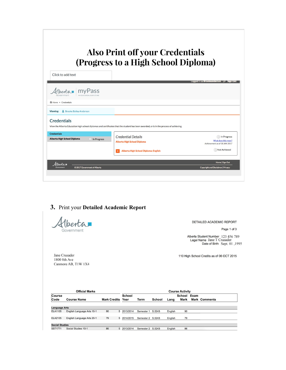|                                                         | <b>Also Print off your Credentials</b><br>(Progress to a High School Diploma)                                                          |                                                       |
|---------------------------------------------------------|----------------------------------------------------------------------------------------------------------------------------------------|-------------------------------------------------------|
| Click to add text                                       |                                                                                                                                        |                                                       |
| Hbertan myPass                                          |                                                                                                                                        | Logged in as Brookeanderson L+ Sign Out               |
| MY FDUCATION, OUR FUTURE<br><b>A</b> Home > Credentials |                                                                                                                                        |                                                       |
| <b>&amp; Brooke Bailey Anderson</b><br>Viewing:         |                                                                                                                                        |                                                       |
| <b>Credentials</b>                                      | View the Alberta Education high school diplomas and certificates that the student has been awarded, or is in the process of achieving. |                                                       |
| <b>Credentials</b>                                      | <b>Credential Details</b>                                                                                                              | In Progress                                           |
| <b>Alberta High School Diploma</b><br>In Progress       | <b>Alberta High School Diploma</b>                                                                                                     | What does this mean?<br>Achievement as of 18 JAN 2017 |
|                                                         | Alberta High School Diploma: English                                                                                                   | Not Achieved                                          |
| Albertan                                                |                                                                                                                                        | <b>Home   Sign Out</b>                                |
| @2017 Government of Alberta                             |                                                                                                                                        | <b>Copyright and Disclaimer   Privacy</b>             |

# 3. Print your Detailed Academic Report

Hberta Government

Jane Crusader

1800 8th Ave Canmore AB, T1W 1X4 DETAILED ACADEMIC REPORT

Page 1 of 3

Alberta Student Number 123 456 789<br>Legal Name Jane T Crusader<br>Date of Birth Sept. 01 ,1995

110 High School Credits as of 06 OCT 2015

| <b>Official Marks</b> |                            |                     | <b>Course Activity</b> |                   |        |         |             |      |                      |
|-----------------------|----------------------------|---------------------|------------------------|-------------------|--------|---------|-------------|------|----------------------|
| Course                |                            |                     | School                 |                   |        |         | School      | Exam |                      |
| Code                  | <b>Course Name</b>         | <b>Mark Credits</b> | Year                   | <b>Term</b>       | School | Lang    | <b>Mark</b> |      | <b>Mark Comments</b> |
|                       |                            |                     |                        |                   |        |         |             |      |                      |
| <b>Language Arts</b>  |                            |                     |                        |                   |        |         |             |      |                      |
| <b>ELA1105</b>        | English Language Arts 10-1 | 90                  | 5 2013/2014            | Semester 1        | S.5243 | English | 90          |      |                      |
| <b>ELA2105</b>        | English Language Arts 20-1 | 79                  | 5 2014/2015            | Semester 2 S.5243 |        | English | 79          |      |                      |
| <b>Social Studies</b> |                            |                     |                        |                   |        |         |             |      |                      |
| <b>SST1771</b>        | Social Studies 10-1        | 86                  | 5 2013/2014            | Semester 2 S.5243 |        | English | 86          |      |                      |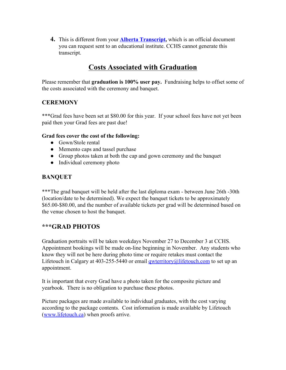**4.** This is different from your **[Alberta Transcript,](http://schools.cbe.ab.ca/b857/docs/guidance/AbEdTranscriptApril2015.pdf)** which is an official document you can request sent to an educational institute. CCHS cannot generate this transcript.

# **Costs Associated with Graduation**

Please remember that **graduation is 100% user pay.** Fundraising helps to offset some of the costs associated with the ceremony and banquet.

### **CEREMONY**

\*\*\*Grad fees have been set at \$80.00 for this year. If your school fees have not yet been paid then your Grad fees are past due!

### **Grad fees cover the cost of the following:**

- Gown/Stole rental
- Memento caps and tassel purchase
- Group photos taken at both the cap and gown ceremony and the banquet
- Individual ceremony photo

### **BANQUET**

\*\*\*The grad banquet will be held after the last diploma exam - between June 26th -30th (location/date to be determined). We expect the banquet tickets to be approximately \$65.00-\$80.00, and the number of available tickets per grad will be determined based on the venue chosen to host the banquet.

### **\*\*\*GRAD PHOTOS**

Graduation portraits will be taken weekdays November 27 to December 3 at CCHS. Appointment bookings will be made on-line beginning in November. Any students who know they will not be here during photo time or require retakes must contact the Lifetouch in Calgary at 403-255-5440 or email *gwterritory@lifetouch.com* to set up an appointment.

It is important that every Grad have a photo taken for the composite picture and yearbook. There is no obligation to purchase these photos.

Picture packages are made available to individual graduates, with the cost varying according to the package contents. Cost information is made available by Lifetouch ([www.lifetouch.ca](http://www.lifetouch.ca/)) when proofs arrive.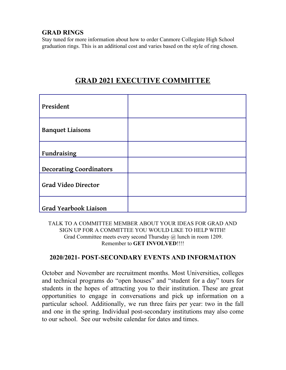### **GRAD RINGS**

Stay tuned for more information about how to order Canmore Collegiate High School graduation rings. This is an additional cost and varies based on the style of ring chosen.

| President                      |  |
|--------------------------------|--|
| <b>Banquet Liaisons</b>        |  |
| Fundraising                    |  |
| <b>Decorating Coordinators</b> |  |
| <b>Grad Video Director</b>     |  |
| Grad Yearbook Liaison          |  |

# **GRAD 2021 EXECUTIVE COMMITTEE**

TALK TO A COMMITTEE MEMBER ABOUT YOUR IDEAS FOR GRAD AND SIGN UP FOR A COMMITTEE YOU WOULD LIKE TO HELP WITH! Grad Committee meets every second Thursday @ lunch in room 1209. Remember to **GET INVOLVED**!!!!

### **2020/2021- POST-SECONDARY EVENTS AND INFORMATION**

October and November are recruitment months. Most Universities, colleges and technical programs do "open houses" and "student for a day" tours for students in the hopes of attracting you to their institution. These are great opportunities to engage in conversations and pick up information on a particular school. Additionally, we run three fairs per year: two in the fall and one in the spring. Individual post-secondary institutions may also come to our school. See our website calendar for dates and times.